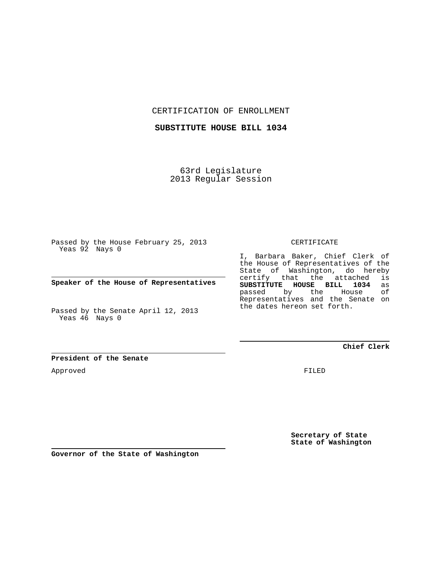CERTIFICATION OF ENROLLMENT

**SUBSTITUTE HOUSE BILL 1034**

63rd Legislature 2013 Regular Session

Passed by the House February 25, 2013 Yeas 92 Nays 0

**Speaker of the House of Representatives**

Passed by the Senate April 12, 2013 Yeas 46 Nays 0

CERTIFICATE

I, Barbara Baker, Chief Clerk of the House of Representatives of the State of Washington, do hereby certify that the attached is<br>SUBSTITUTE HOUSE BILL 1034 as **SUBSTITUTE HOUSE BILL 1034** as passed by the Representatives and the Senate on the dates hereon set forth.

**Chief Clerk**

**President of the Senate**

Approved

FILED

**Secretary of State State of Washington**

**Governor of the State of Washington**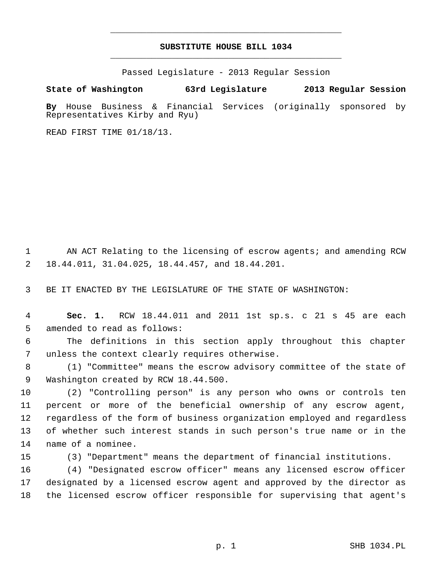## **SUBSTITUTE HOUSE BILL 1034** \_\_\_\_\_\_\_\_\_\_\_\_\_\_\_\_\_\_\_\_\_\_\_\_\_\_\_\_\_\_\_\_\_\_\_\_\_\_\_\_\_\_\_\_\_

\_\_\_\_\_\_\_\_\_\_\_\_\_\_\_\_\_\_\_\_\_\_\_\_\_\_\_\_\_\_\_\_\_\_\_\_\_\_\_\_\_\_\_\_\_

Passed Legislature - 2013 Regular Session

**State of Washington 63rd Legislature 2013 Regular Session**

**By** House Business & Financial Services (originally sponsored by Representatives Kirby and Ryu)

READ FIRST TIME 01/18/13.

1 AN ACT Relating to the licensing of escrow agents; and amending RCW 2 18.44.011, 31.04.025, 18.44.457, and 18.44.201.

3 BE IT ENACTED BY THE LEGISLATURE OF THE STATE OF WASHINGTON:

 4 **Sec. 1.** RCW 18.44.011 and 2011 1st sp.s. c 21 s 45 are each 5 amended to read as follows:

 6 The definitions in this section apply throughout this chapter 7 unless the context clearly requires otherwise.

 8 (1) "Committee" means the escrow advisory committee of the state of 9 Washington created by RCW 18.44.500.

10 (2) "Controlling person" is any person who owns or controls ten 11 percent or more of the beneficial ownership of any escrow agent, 12 regardless of the form of business organization employed and regardless 13 of whether such interest stands in such person's true name or in the 14 name of a nominee.

15 (3) "Department" means the department of financial institutions.

16 (4) "Designated escrow officer" means any licensed escrow officer 17 designated by a licensed escrow agent and approved by the director as 18 the licensed escrow officer responsible for supervising that agent's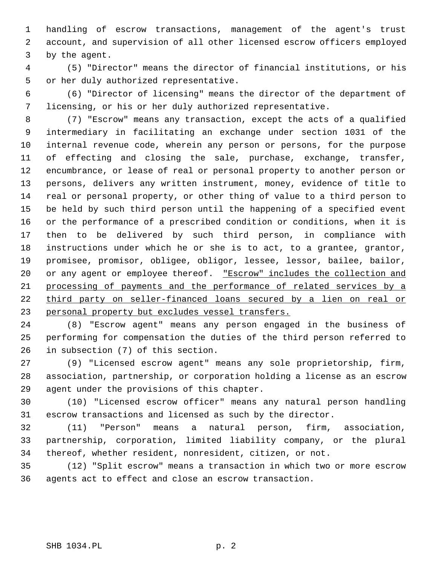1 handling of escrow transactions, management of the agent's trust 2 account, and supervision of all other licensed escrow officers employed 3 by the agent.

 4 (5) "Director" means the director of financial institutions, or his 5 or her duly authorized representative.

 6 (6) "Director of licensing" means the director of the department of 7 licensing, or his or her duly authorized representative.

 8 (7) "Escrow" means any transaction, except the acts of a qualified 9 intermediary in facilitating an exchange under section 1031 of the 10 internal revenue code, wherein any person or persons, for the purpose 11 of effecting and closing the sale, purchase, exchange, transfer, 12 encumbrance, or lease of real or personal property to another person or 13 persons, delivers any written instrument, money, evidence of title to 14 real or personal property, or other thing of value to a third person to 15 be held by such third person until the happening of a specified event 16 or the performance of a prescribed condition or conditions, when it is 17 then to be delivered by such third person, in compliance with 18 instructions under which he or she is to act, to a grantee, grantor, 19 promisee, promisor, obligee, obligor, lessee, lessor, bailee, bailor, 20 or any agent or employee thereof. "Escrow" includes the collection and 21 processing of payments and the performance of related services by a 22 third party on seller-financed loans secured by a lien on real or 23 personal property but excludes vessel transfers.

24 (8) "Escrow agent" means any person engaged in the business of 25 performing for compensation the duties of the third person referred to 26 in subsection (7) of this section.

27 (9) "Licensed escrow agent" means any sole proprietorship, firm, 28 association, partnership, or corporation holding a license as an escrow 29 agent under the provisions of this chapter.

30 (10) "Licensed escrow officer" means any natural person handling 31 escrow transactions and licensed as such by the director.

32 (11) "Person" means a natural person, firm, association, 33 partnership, corporation, limited liability company, or the plural 34 thereof, whether resident, nonresident, citizen, or not.

35 (12) "Split escrow" means a transaction in which two or more escrow 36 agents act to effect and close an escrow transaction.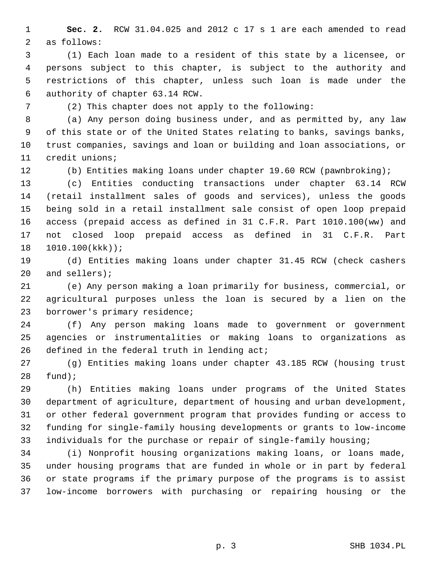1 **Sec. 2.** RCW 31.04.025 and 2012 c 17 s 1 are each amended to read 2 as follows:

 3 (1) Each loan made to a resident of this state by a licensee, or 4 persons subject to this chapter, is subject to the authority and 5 restrictions of this chapter, unless such loan is made under the 6 authority of chapter 63.14 RCW.

7 (2) This chapter does not apply to the following:

 8 (a) Any person doing business under, and as permitted by, any law 9 of this state or of the United States relating to banks, savings banks, 10 trust companies, savings and loan or building and loan associations, or 11 credit unions;

12 (b) Entities making loans under chapter 19.60 RCW (pawnbroking);

13 (c) Entities conducting transactions under chapter 63.14 RCW 14 (retail installment sales of goods and services), unless the goods 15 being sold in a retail installment sale consist of open loop prepaid 16 access (prepaid access as defined in 31 C.F.R. Part 1010.100(ww) and 17 not closed loop prepaid access as defined in 31 C.F.R. Part 18 1010.100(kkk));

19 (d) Entities making loans under chapter 31.45 RCW (check cashers 20 and sellers);

21 (e) Any person making a loan primarily for business, commercial, or 22 agricultural purposes unless the loan is secured by a lien on the 23 borrower's primary residence;

24 (f) Any person making loans made to government or government 25 agencies or instrumentalities or making loans to organizations as 26 defined in the federal truth in lending act;

27 (g) Entities making loans under chapter 43.185 RCW (housing trust 28 fund);

29 (h) Entities making loans under programs of the United States 30 department of agriculture, department of housing and urban development, 31 or other federal government program that provides funding or access to 32 funding for single-family housing developments or grants to low-income 33 individuals for the purchase or repair of single-family housing;

34 (i) Nonprofit housing organizations making loans, or loans made, 35 under housing programs that are funded in whole or in part by federal 36 or state programs if the primary purpose of the programs is to assist 37 low-income borrowers with purchasing or repairing housing or the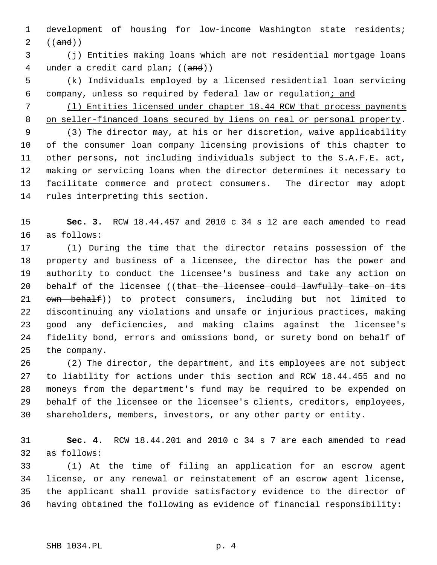1 development of housing for low-income Washington state residents; 2  $((and))$ 

 3 (j) Entities making loans which are not residential mortgage loans 4 under a credit card plan; ((and))

- 5 (k) Individuals employed by a licensed residential loan servicing 6 company, unless so required by federal law or regulation; and
- 7 (l) Entities licensed under chapter 18.44 RCW that process payments 8 on seller-financed loans secured by liens on real or personal property.

 9 (3) The director may, at his or her discretion, waive applicability 10 of the consumer loan company licensing provisions of this chapter to 11 other persons, not including individuals subject to the S.A.F.E. act, 12 making or servicing loans when the director determines it necessary to 13 facilitate commerce and protect consumers. The director may adopt 14 rules interpreting this section.

15 **Sec. 3.** RCW 18.44.457 and 2010 c 34 s 12 are each amended to read 16 as follows:

17 (1) During the time that the director retains possession of the 18 property and business of a licensee, the director has the power and 19 authority to conduct the licensee's business and take any action on 20 behalf of the licensee ((that the licensee could lawfully take on its 21 own behalf)) to protect consumers, including but not limited to 22 discontinuing any violations and unsafe or injurious practices, making 23 good any deficiencies, and making claims against the licensee's 24 fidelity bond, errors and omissions bond, or surety bond on behalf of 25 the company.

26 (2) The director, the department, and its employees are not subject 27 to liability for actions under this section and RCW 18.44.455 and no 28 moneys from the department's fund may be required to be expended on 29 behalf of the licensee or the licensee's clients, creditors, employees, 30 shareholders, members, investors, or any other party or entity.

31 **Sec. 4.** RCW 18.44.201 and 2010 c 34 s 7 are each amended to read 32 as follows:

33 (1) At the time of filing an application for an escrow agent 34 license, or any renewal or reinstatement of an escrow agent license, 35 the applicant shall provide satisfactory evidence to the director of 36 having obtained the following as evidence of financial responsibility: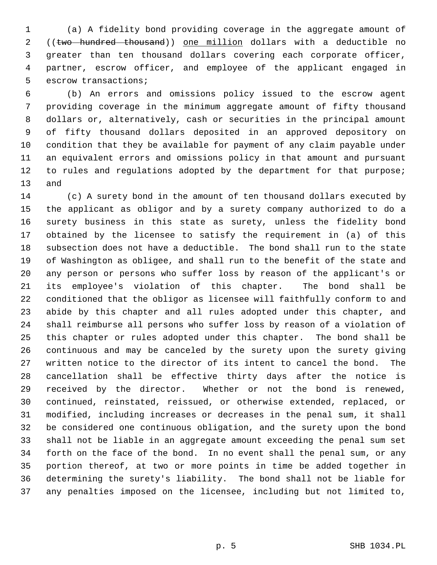1 (a) A fidelity bond providing coverage in the aggregate amount of 2 ((two hundred thousand)) one million dollars with a deductible no 3 greater than ten thousand dollars covering each corporate officer, 4 partner, escrow officer, and employee of the applicant engaged in 5 escrow transactions;

 6 (b) An errors and omissions policy issued to the escrow agent 7 providing coverage in the minimum aggregate amount of fifty thousand 8 dollars or, alternatively, cash or securities in the principal amount 9 of fifty thousand dollars deposited in an approved depository on 10 condition that they be available for payment of any claim payable under 11 an equivalent errors and omissions policy in that amount and pursuant 12 to rules and regulations adopted by the department for that purpose; 13 and

14 (c) A surety bond in the amount of ten thousand dollars executed by 15 the applicant as obligor and by a surety company authorized to do a 16 surety business in this state as surety, unless the fidelity bond 17 obtained by the licensee to satisfy the requirement in (a) of this 18 subsection does not have a deductible. The bond shall run to the state 19 of Washington as obligee, and shall run to the benefit of the state and 20 any person or persons who suffer loss by reason of the applicant's or 21 its employee's violation of this chapter. The bond shall be 22 conditioned that the obligor as licensee will faithfully conform to and 23 abide by this chapter and all rules adopted under this chapter, and 24 shall reimburse all persons who suffer loss by reason of a violation of 25 this chapter or rules adopted under this chapter. The bond shall be 26 continuous and may be canceled by the surety upon the surety giving 27 written notice to the director of its intent to cancel the bond. The 28 cancellation shall be effective thirty days after the notice is 29 received by the director. Whether or not the bond is renewed, 30 continued, reinstated, reissued, or otherwise extended, replaced, or 31 modified, including increases or decreases in the penal sum, it shall 32 be considered one continuous obligation, and the surety upon the bond 33 shall not be liable in an aggregate amount exceeding the penal sum set 34 forth on the face of the bond. In no event shall the penal sum, or any 35 portion thereof, at two or more points in time be added together in 36 determining the surety's liability. The bond shall not be liable for 37 any penalties imposed on the licensee, including but not limited to,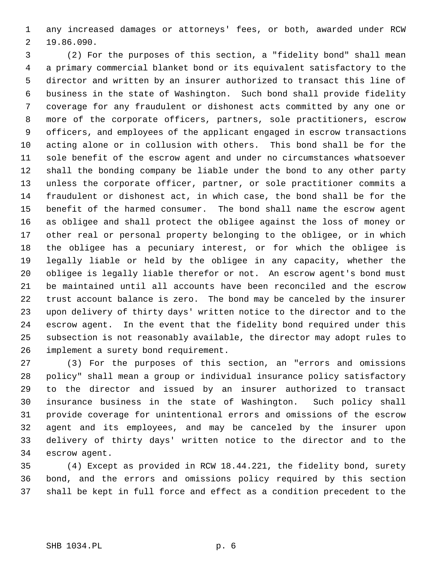1 any increased damages or attorneys' fees, or both, awarded under RCW 2 19.86.090.

 3 (2) For the purposes of this section, a "fidelity bond" shall mean 4 a primary commercial blanket bond or its equivalent satisfactory to the 5 director and written by an insurer authorized to transact this line of 6 business in the state of Washington. Such bond shall provide fidelity 7 coverage for any fraudulent or dishonest acts committed by any one or 8 more of the corporate officers, partners, sole practitioners, escrow 9 officers, and employees of the applicant engaged in escrow transactions 10 acting alone or in collusion with others. This bond shall be for the 11 sole benefit of the escrow agent and under no circumstances whatsoever 12 shall the bonding company be liable under the bond to any other party 13 unless the corporate officer, partner, or sole practitioner commits a 14 fraudulent or dishonest act, in which case, the bond shall be for the 15 benefit of the harmed consumer. The bond shall name the escrow agent 16 as obligee and shall protect the obligee against the loss of money or 17 other real or personal property belonging to the obligee, or in which 18 the obligee has a pecuniary interest, or for which the obligee is 19 legally liable or held by the obligee in any capacity, whether the 20 obligee is legally liable therefor or not. An escrow agent's bond must 21 be maintained until all accounts have been reconciled and the escrow 22 trust account balance is zero. The bond may be canceled by the insurer 23 upon delivery of thirty days' written notice to the director and to the 24 escrow agent. In the event that the fidelity bond required under this 25 subsection is not reasonably available, the director may adopt rules to 26 implement a surety bond requirement.

27 (3) For the purposes of this section, an "errors and omissions 28 policy" shall mean a group or individual insurance policy satisfactory 29 to the director and issued by an insurer authorized to transact 30 insurance business in the state of Washington. Such policy shall 31 provide coverage for unintentional errors and omissions of the escrow 32 agent and its employees, and may be canceled by the insurer upon 33 delivery of thirty days' written notice to the director and to the 34 escrow agent.

35 (4) Except as provided in RCW 18.44.221, the fidelity bond, surety 36 bond, and the errors and omissions policy required by this section 37 shall be kept in full force and effect as a condition precedent to the